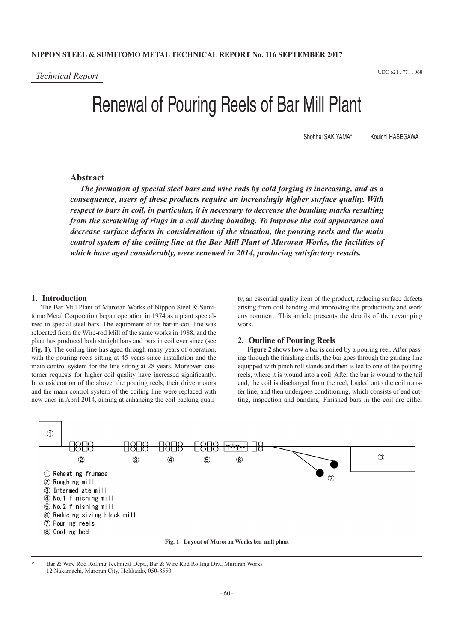*Technical Report* UDC 621 . 771 . 068

# Renewal of Pouring Reels of Bar Mill Plant

Shohhei SAKIYAMA\* Kouichi HASEGAWA

# **Abstract**

*The formation of special steel bars and wire rods by cold forging is increasing, and as a consequence, users of these products require an increasingly higher surface quality. With respect to bars in coil, in particular, it is necessary to decrease the banding marks resulting from the scratching of rings in a coil during banding. To improve the coil appearance and decrease surface defects in consideration of the situation, the pouring reels and the main control system of the coiling line at the Bar Mill Plant of Muroran Works, the facilities of which have aged considerably, were renewed in 2014, producing satisfactory results.*

# **1. Introduction**

The Bar Mill Plant of Muroran Works of Nippon Steel & Sumitomo Metal Corporation began operation in 1974 as a plant specialized in special steel bars. The equipment of its bar-in-coil line was relocated from the Wire-rod Mill of the same works in 1988, and the plant has produced both straight bars and bars in coil ever since (see **Fig. 1**). The coiling line has aged through many years of operation, with the pouring reels sitting at 45 years since installation and the main control system for the line sitting at 28 years. Moreover, customer requests for higher coil quality have increased significantly. In consideration of the above, the pouring reels, their drive motors and the main control system of the coiling line were replaced with new ones in April 2014, aiming at enhancing the coil packing quality, an essential quality item of the product, reducing surface defects arising from coil banding and improving the productivity and work environment. This article presents the details of the revamping work.

#### **2. Outline of Pouring Reels**

**Figure 2** shows how a bar is coiled by a pouring reel. After passing through the finishing mills, the bar goes through the guiding line equipped with pinch roll stands and then is led to one of the pouring reels, where it is wound into a coil. After the bar is wound to the tail end, the coil is discharged from the reel, loaded onto the coil transfer line, and then undergoes conditioning, which consists of end cutting, inspection and banding. Finished bars in the coil are either



Bar & Wire Rod Rolling Technical Dept., Bar & Wire Rod Rolling Div., Muroran Works 12 Nakamachi, Muroran City, Hokkaido, 050-8550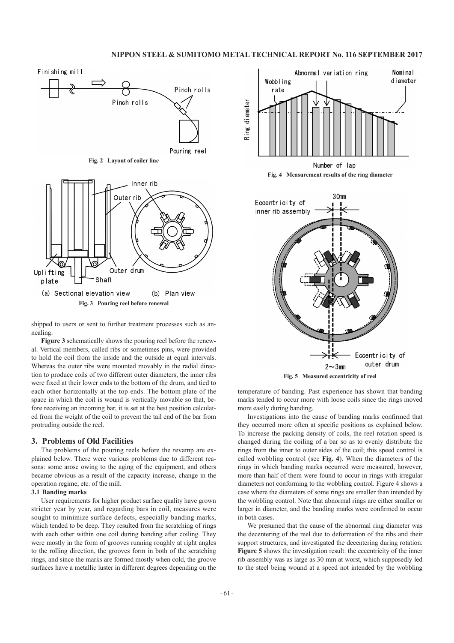# **NIPPON STEEL & SUMITOMO METAL TECHNICAL REPORT No. 116 SEPTEMBER 2017**



shipped to users or sent to further treatment processes such as annealing.

**Figure 3** schematically shows the pouring reel before the renewal. Vertical members, called ribs or sometimes pins, were provided to hold the coil from the inside and the outside at equal intervals. Whereas the outer ribs were mounted movably in the radial direction to produce coils of two different outer diameters, the inner ribs were fixed at their lower ends to the bottom of the drum, and tied to each other horizontally at the top ends. The bottom plate of the space in which the coil is wound is vertically movable so that, before receiving an incoming bar, it is set at the best position calculated from the weight of the coil to prevent the tail end of the bar from protruding outside the reel.

## **3. Problems of Old Facilities**

The problems of the pouring reels before the revamp are explained below. There were various problems due to different reasons: some arose owing to the aging of the equipment, and others became obvious as a result of the capacity increase, change in the operation regime, etc. of the mill.

#### **3.1 Banding marks**

User requirements for higher product surface quality have grown stricter year by year, and regarding bars in coil, measures were sought to minimize surface defects, especially banding marks, which tended to be deep. They resulted from the scratching of rings with each other within one coil during banding after coiling. They were mostly in the form of grooves running roughly at right angles to the rolling direction, the grooves form in both of the scratching rings, and since the marks are formed mostly when cold, the groove surfaces have a metallic luster in different degrees depending on the



**Fig. 4 Measurement results of the ring diameter**



**Fig. 5 Measured eccentricity of reel**

temperature of banding. Past experience has shown that banding marks tended to occur more with loose coils since the rings moved more easily during banding.

Investigations into the cause of banding marks confirmed that they occurred more often at specific positions as explained below. To increase the packing density of coils, the reel rotation speed is changed during the coiling of a bar so as to evenly distribute the rings from the inner to outer sides of the coil; this speed control is called wobbling control (see **Fig. 4**). When the diameters of the rings in which banding marks occurred were measured, however, more than half of them were found to occur in rings with irregular diameters not conforming to the wobbling control. Figure 4 shows a case where the diameters of some rings are smaller than intended by the wobbling control. Note that abnormal rings are either smaller or larger in diameter, and the banding marks were confirmed to occur in both cases.

We presumed that the cause of the abnormal ring diameter was the decentering of the reel due to deformation of the ribs and their support structures, and investigated the decentering during rotation. **Figure 5** shows the investigation result: the eccentricity of the inner rib assembly was as large as 30 mm at worst, which supposedly led to the steel being wound at a speed not intended by the wobbling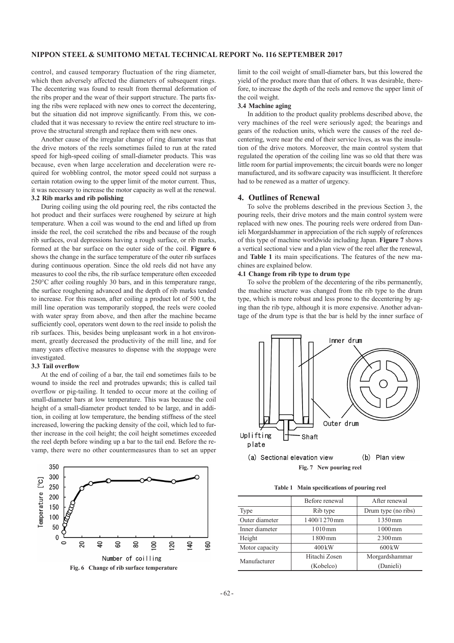# **NIPPON STEEL & SUMITOMO METAL TECHNICAL REPORT No. 116 SEPTEMBER 2017**

control, and caused temporary fluctuation of the ring diameter, which then adversely affected the diameters of subsequent rings. The decentering was found to result from thermal deformation of the ribs proper and the wear of their support structure. The parts fixing the ribs were replaced with new ones to correct the decentering, but the situation did not improve significantly. From this, we concluded that it was necessary to review the entire reel structure to improve the structural strength and replace them with new ones.

Another cause of the irregular change of ring diameter was that the drive motors of the reels sometimes failed to run at the rated speed for high-speed coiling of small-diameter products. This was because, even when large acceleration and deceleration were required for wobbling control, the motor speed could not surpass a certain rotation owing to the upper limit of the motor current. Thus, it was necessary to increase the motor capacity as well at the renewal.

# **3.2 Rib marks and rib polishing**

During coiling using the old pouring reel, the ribs contacted the hot product and their surfaces were roughened by seizure at high temperature. When a coil was wound to the end and lifted up from inside the reel, the coil scratched the ribs and because of the rough rib surfaces, oval depressions having a rough surface, or rib marks, formed at the bar surface on the outer side of the coil. **Figure 6** shows the change in the surface temperature of the outer rib surfaces during continuous operation. Since the old reels did not have any measures to cool the ribs, the rib surface temperature often exceeded 250°C after coiling roughly 30 bars, and in this temperature range, the surface roughening advanced and the depth of rib marks tended to increase. For this reason, after coiling a product lot of 500 t, the mill line operation was temporarily stopped, the reels were cooled with water spray from above, and then after the machine became sufficiently cool, operators went down to the reel inside to polish the rib surfaces. This, besides being unpleasant work in a hot environment, greatly decreased the productivity of the mill line, and for many years effective measures to dispense with the stoppage were investigated.

#### **3.3 Tail overflow**

At the end of coiling of a bar, the tail end sometimes fails to be wound to inside the reel and protrudes upwards; this is called tail overflow or pig-tailing. It tended to occur more at the coiling of small-diameter bars at low temperature. This was because the coil height of a small-diameter product tended to be large, and in addition, in coiling at low temperature, the bending stiffness of the steel increased, lowering the packing density of the coil, which led to further increase in the coil height; the coil height sometimes exceeded the reel depth before winding up a bar to the tail end. Before the revamp, there were no other countermeasures than to set an upper



limit to the coil weight of small-diameter bars, but this lowered the yield of the product more than that of others. It was desirable, therefore, to increase the depth of the reels and remove the upper limit of the coil weight.

#### **3.4 Machine aging**

In addition to the product quality problems described above, the very machines of the reel were seriously aged; the bearings and gears of the reduction units, which were the causes of the reel decentering, were near the end of their service lives, as was the insulation of the drive motors. Moreover, the main control system that regulated the operation of the coiling line was so old that there was little room for partial improvements; the circuit boards were no longer manufactured, and its software capacity was insufficient. It therefore had to be renewed as a matter of urgency.

#### **4. Outlines of Renewal**

To solve the problems described in the previous Section 3, the pouring reels, their drive motors and the main control system were replaced with new ones. The pouring reels were ordered from Danieli Morgardshammer in appreciation of the rich supply of references of this type of machine worldwide including Japan. **Figure 7** shows a vertical sectional view and a plan view of the reel after the renewal, and **Table 1** its main specifications. The features of the new machines are explained below.

#### **4.1 Change from rib type to drum type**

To solve the problem of the decentering of the ribs permanently, the machine structure was changed from the rib type to the drum type, which is more robust and less prone to the decentering by aging than the rib type, although it is more expensive. Another advantage of the drum type is that the bar is held by the inner surface of



(b) Plan view (a) Sectional elevation view **Fig. 7 New pouring reel**

**Table 1 Main specifications of pouring reel**

|                | Before renewal       | After renewal        |
|----------------|----------------------|----------------------|
| Type           | Rib type             | Drum type (no ribs)  |
| Outer diameter | 1400/1270mm          | 1350mm               |
| Inner diameter | $1010 \,\mathrm{mm}$ | $1000 \,\mathrm{mm}$ |
| Height         | 1800 mm              | $2300$ mm            |
| Motor capacity | $400 \text{kW}$      | $600\,\mathrm{kW}$   |
| Manufacturer   | Hitachi Zosen        | Morgardshammar       |
|                | (Kobelco)            | (Danieli)            |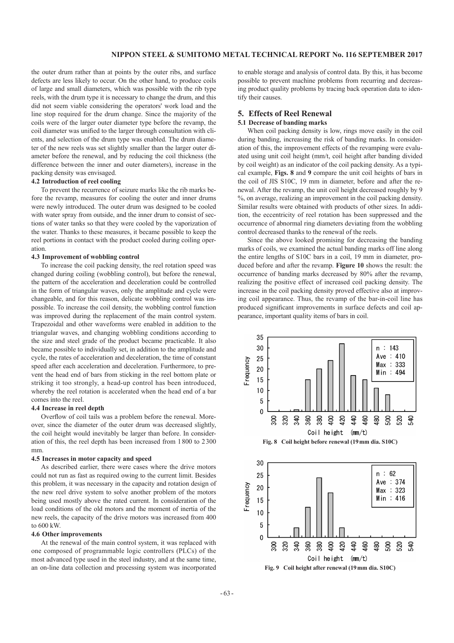the outer drum rather than at points by the outer ribs, and surface defects are less likely to occur. On the other hand, to produce coils of large and small diameters, which was possible with the rib type reels, with the drum type it is necessary to change the drum, and this did not seem viable considering the operators' work load and the line stop required for the drum change. Since the majority of the coils were of the larger outer diameter type before the revamp, the coil diameter was unified to the larger through consultation with clients, and selection of the drum type was enabled. The drum diameter of the new reels was set slightly smaller than the larger outer diameter before the renewal, and by reducing the coil thickness (the difference between the inner and outer diameters), increase in the packing density was envisaged.

# **4.2 Introduction of reel cooling**

To prevent the recurrence of seizure marks like the rib marks before the revamp, measures for cooling the outer and inner drums were newly introduced. The outer drum was designed to be cooled with water spray from outside, and the inner drum to consist of sections of water tanks so that they were cooled by the vaporization of the water. Thanks to these measures, it became possible to keep the reel portions in contact with the product cooled during coiling operation.

## **4.3 Improvement of wobbling control**

To increase the coil packing density, the reel rotation speed was changed during coiling (wobbling control), but before the renewal, the pattern of the acceleration and deceleration could be controlled in the form of triangular waves, only the amplitude and cycle were changeable, and for this reason, delicate wobbling control was impossible. To increase the coil density, the wobbling control function was improved during the replacement of the main control system. Trapezoidal and other waveforms were enabled in addition to the triangular waves, and changing wobbling conditions according to the size and steel grade of the product became practicable. It also became possible to individually set, in addition to the amplitude and cycle, the rates of acceleration and deceleration, the time of constant speed after each acceleration and deceleration. Furthermore, to prevent the head end of bars from sticking in the reel bottom plate or striking it too strongly, a head-up control has been introduced, whereby the reel rotation is accelerated when the head end of a bar comes into the reel.

#### **4.4 Increase in reel depth**

Overflow of coil tails was a problem before the renewal. Moreover, since the diameter of the outer drum was decreased slightly, the coil height would inevitably be larger than before. In consideration of this, the reel depth has been increased from 1800 to 2300 mm.

#### **4.5 Increases in motor capacity and speed**

As described earlier, there were cases where the drive motors could not run as fast as required owing to the current limit. Besides this problem, it was necessary in the capacity and rotation design of the new reel drive system to solve another problem of the motors being used mostly above the rated current. In consideration of the load conditions of the old motors and the moment of inertia of the new reels, the capacity of the drive motors was increased from 400 to 600 kW.

## **4.6 Other improvements**

At the renewal of the main control system, it was replaced with one composed of programmable logic controllers (PLCs) of the most advanced type used in the steel industry, and at the same time, an on-line data collection and processing system was incorporated to enable storage and analysis of control data. By this, it has become possible to prevent machine problems from recurring and decreasing product quality problems by tracing back operation data to identify their causes.

# **5. Effects of Reel Renewal**

#### **5.1 Decrease of banding marks**

When coil packing density is low, rings move easily in the coil during banding, increasing the risk of banding marks. In consideration of this, the improvement effects of the revamping were evaluated using unit coil height (mm/t, coil height after banding divided by coil weight) as an indicator of the coil packing density. As a typical example, **Figs. 8** and **9** compare the unit coil heights of bars in the coil of JIS S10C, 19 mm in diameter, before and after the renewal. After the revamp, the unit coil height decreased roughly by 9 %, on average, realizing an improvement in the coil packing density. Similar results were obtained with products of other sizes. In addition, the eccentricity of reel rotation has been suppressed and the occurrence of abnormal ring diameters deviating from the wobbling control decreased thanks to the renewal of the reels.

Since the above looked promising for decreasing the banding marks of coils, we examined the actual banding marks off line along the entire lengths of S10C bars in a coil, 19 mm in diameter, produced before and after the revamp. **Figure 10** shows the result: the occurrence of banding marks decreased by 80% after the revamp, realizing the positive effect of increased coil packing density. The increase in the coil packing density proved effective also at improving coil appearance. Thus, the revamp of the bar-in-coil line has produced significant improvements in surface defects and coil appearance, important quality items of bars in coil.